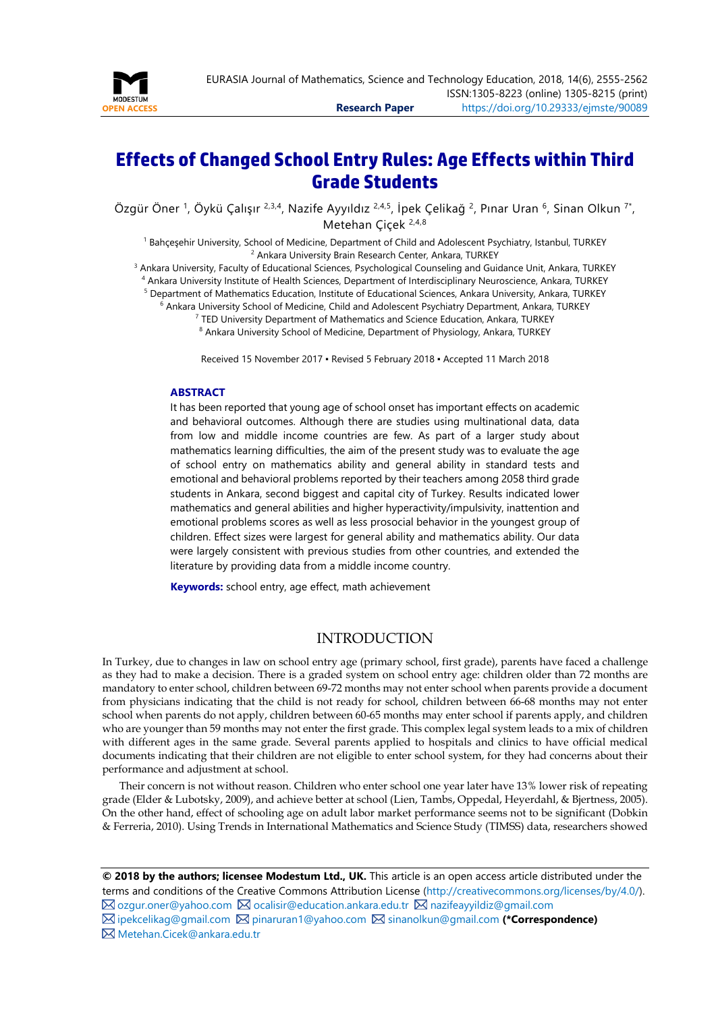

# **Effects of Changed School Entry Rules: Age Effects within Third Grade Students**

Özgür Öner <sup>1</sup>, Öykü Çalışır <sup>2,3,4</sup>, Nazife Ayyıldız <sup>2,4,5</sup>, İpek Çelikağ <sup>2</sup>, Pınar Uran <sup>6</sup>, Sinan Olkun <sup>7\*</sup>, Metehan Çiçek 2,4,8

<sup>1</sup> Bahçeşehir University, School of Medicine, Department of Child and Adolescent Psychiatry, Istanbul, TURKEY <sup>2</sup> Ankara University Brain Research Center, Ankara, TURKEY

<sup>3</sup> Ankara University, Faculty of Educational Sciences, Psychological Counseling and Guidance Unit, Ankara, TURKEY

<sup>4</sup> Ankara University Institute of Health Sciences, Department of Interdisciplinary Neuroscience, Ankara, TURKEY

<sup>5</sup> Department of Mathematics Education, Institute of Educational Sciences, Ankara University, Ankara, TURKEY

<sup>6</sup> Ankara University School of Medicine, Child and Adolescent Psychiatry Department, Ankara, TURKEY

<sup>7</sup> TED University Department of Mathematics and Science Education, Ankara, TURKEY 8 Ankara University School of Medicine, Department of Physiology, Ankara, TURKEY

Received 15 November 2017 ▪ Revised 5 February 2018 ▪ Accepted 11 March 2018

#### <span id="page-0-0"></span>**ABSTRACT**

It has been reported that young age of school onset has important effects on academic and behavioral outcomes. Although there are studies using multinational data, data from low and middle income countries are few. As part of a larger study about mathematics learning difficulties, the aim of the present study was to evaluate the age of school entry on mathematics ability and general ability in standard tests and emotional and behavioral problems reported by their teachers among 2058 third grade students in Ankara, second biggest and capital city of Turkey. Results indicated lower mathematics and general abilities and higher hyperactivity/impulsivity, inattention and emotional problems scores as well as less prosocial behavior in the youngest group of children. Effect sizes were largest for general ability and mathematics ability. Our data were largely consistent with previous studies from other countries, and extended the literature by providing data from a middle income country.

**Keywords:** school entry, age effect, math achievement

## INTRODUCTION

In Turkey, due to changes in law on school entry age (primary school, first grade), parents have faced a challenge as they had to make a decision. There is a graded system on school entry age: children older than 72 months are mandatory to enter school, children between 69-72 months may not enter school when parents provide a document from physicians indicating that the child is not ready for school, children between 66-68 months may not enter school when parents do not apply, children between 60-65 months may enter school if parents apply, and children who are younger than 59 months may not enter the first grade. This complex legal system leads to a mix of children with different ages in the same grade. Several parents applied to hospitals and clinics to have official medical documents indicating that their children are not eligible to enter school system, for they had concerns about their performance and adjustment at school.

Their concern is not without reason. Children who enter school one year later have 13% lower risk of repeating grade (Elder & Lubotsky, 2009), and achieve better at school (Lien, Tambs, Oppedal, Heyerdahl, & Bjertness, 2005). On the other hand, effect of schooling age on adult labor market performance seems not to be significant (Dobkin & Ferreria, 2010). Using Trends in International Mathematics and Science Study (TIMSS) data, researchers showed

**© 2018 by the authors; licensee Modestum Ltd., UK.** This article is an open access article distributed under the terms and conditions of the Creative Commons Attribution License [\(http://creativecommons.org/licenses/by/4.0/\)](http://creativecommons.org/licenses/by/4.0/).  $\boxtimes$  [ozgur.oner@yahoo.com](mailto:ozgur.oner@yahoo.com)  $\boxtimes$  [ocalisir@education.ankara.edu.tr](mailto:ocalisir@education.ankara.edu.tr)  $\boxtimes$  [nazifeayyildiz@gmail.com](mailto:nazifeayyildiz@gmail.com) [ipekcelikag@gmail.com](mailto:ipekcelikag@gmail.com) [pinaruran1@yahoo.com](mailto:pinaruran1@yahoo.com) [sinanolkun@gmail.com](mailto:sinanolkun@gmail.com) **(\*Correspondence)**

[Metehan.Cicek@ankara.edu.tr](mailto:Metehan.Cicek@ankara.edu.tr)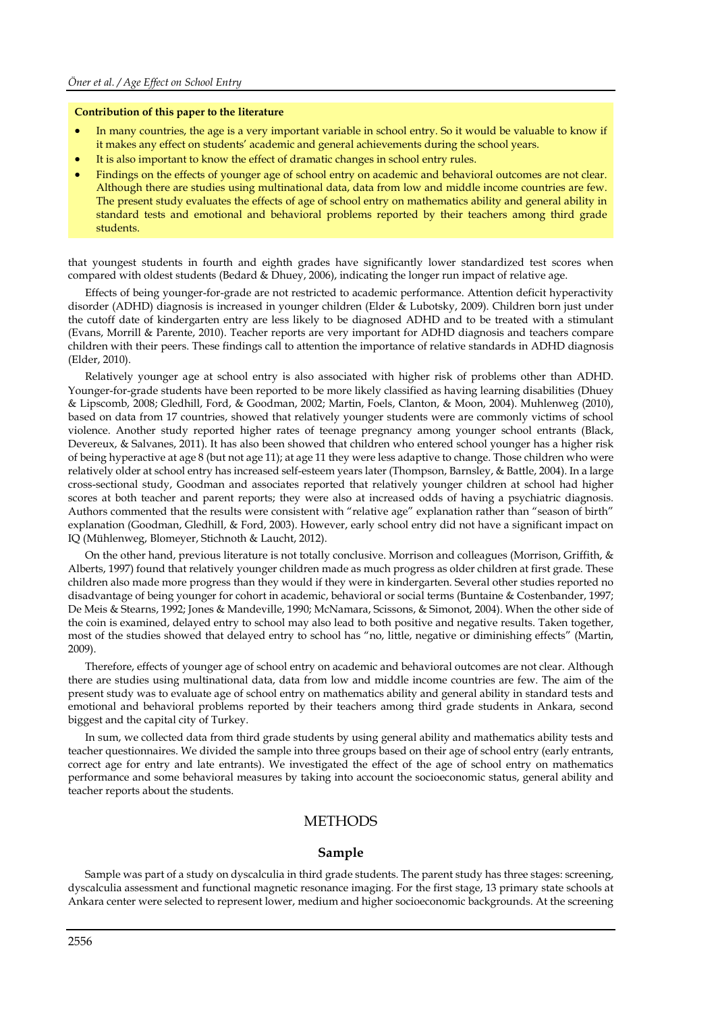#### **Contribution of this paper to the literature**

- In many countries, the age is a very important variable in school entry. So it would be valuable to know if it makes any effect on students' academic and general achievements during the school years.
- It is also important to know the effect of dramatic changes in school entry rules.
- Findings on the effects of younger age of school entry on academic and behavioral outcomes are not clear. Although there are studies using multinational data, data from low and middle income countries are few. The present study evaluates the effects of age of school entry on mathematics ability and general ability in standard tests and emotional and behavioral problems reported by their teachers among third grade students.

that youngest students in fourth and eighth grades have significantly lower standardized test scores when compared with oldest students (Bedard & Dhuey, 2006), indicating the longer run impact of relative age.

Effects of being younger-for-grade are not restricted to academic performance. Attention deficit hyperactivity disorder (ADHD) diagnosis is increased in younger children (Elder & Lubotsky, 2009). Children born just under the cutoff date of kindergarten entry are less likely to be diagnosed ADHD and to be treated with a stimulant (Evans, Morrill & Parente, 2010). Teacher reports are very important for ADHD diagnosis and teachers compare children with their peers. These findings call to attention the importance of relative standards in ADHD diagnosis (Elder, 2010).

Relatively younger age at school entry is also associated with higher risk of problems other than ADHD. Younger-for-grade students have been reported to be more likely classified as having learning disabilities (Dhuey & Lipscomb, 2008; Gledhill, Ford, & Goodman, 2002; Martin, Foels, Clanton, & Moon, 2004). Muhlenweg (2010), based on data from 17 countries, showed that relatively younger students were are commonly victims of school violence. Another study reported higher rates of teenage pregnancy among younger school entrants (Black, Devereux, & Salvanes, 2011). It has also been showed that children who entered school younger has a higher risk of being hyperactive at age 8 (but not age 11); at age 11 they were less adaptive to change. Those children who were relatively older at school entry has increased self-esteem years later (Thompson, Barnsley, & Battle, 2004). In a large cross-sectional study, Goodman and associates reported that relatively younger children at school had higher scores at both teacher and parent reports; they were also at increased odds of having a psychiatric diagnosis. Authors commented that the results were consistent with "relative age" explanation rather than "season of birth" explanation (Goodman, Gledhill, & Ford, 2003). However, early school entry did not have a significant impact on IQ (Mühlenweg, Blomeyer, Stichnoth & Laucht, 2012).

On the other hand, previous literature is not totally conclusive. Morrison and colleagues (Morrison, Griffith, & Alberts, 1997) found that relatively younger children made as much progress as older children at first grade. These children also made more progress than they would if they were in kindergarten. Several other studies reported no disadvantage of being younger for cohort in academic, behavioral or social terms (Buntaine & Costenbander, 1997; De Meis & Stearns, 1992; Jones & Mandeville, 1990; McNamara, Scissons, & Simonot, 2004). When the other side of the coin is examined, delayed entry to school may also lead to both positive and negative results. Taken together, most of the studies showed that delayed entry to school has "no, little, negative or diminishing effects" (Martin, 2009).

Therefore, effects of younger age of school entry on academic and behavioral outcomes are not clear. Although there are studies using multinational data, data from low and middle income countries are few. The aim of the present study was to evaluate age of school entry on mathematics ability and general ability in standard tests and emotional and behavioral problems reported by their teachers among third grade students in Ankara, second biggest and the capital city of Turkey.

In sum, we collected data from third grade students by using general ability and mathematics ability tests and teacher questionnaires. We divided the sample into three groups based on their age of school entry (early entrants, correct age for entry and late entrants). We investigated the effect of the age of school entry on mathematics performance and some behavioral measures by taking into account the socioeconomic status, general ability and teacher reports about the students.

## **METHODS**

#### **Sample**

Sample was part of a study on dyscalculia in third grade students. The parent study has three stages: screening, dyscalculia assessment and functional magnetic resonance imaging. For the first stage, 13 primary state schools at Ankara center were selected to represent lower, medium and higher socioeconomic backgrounds. At the screening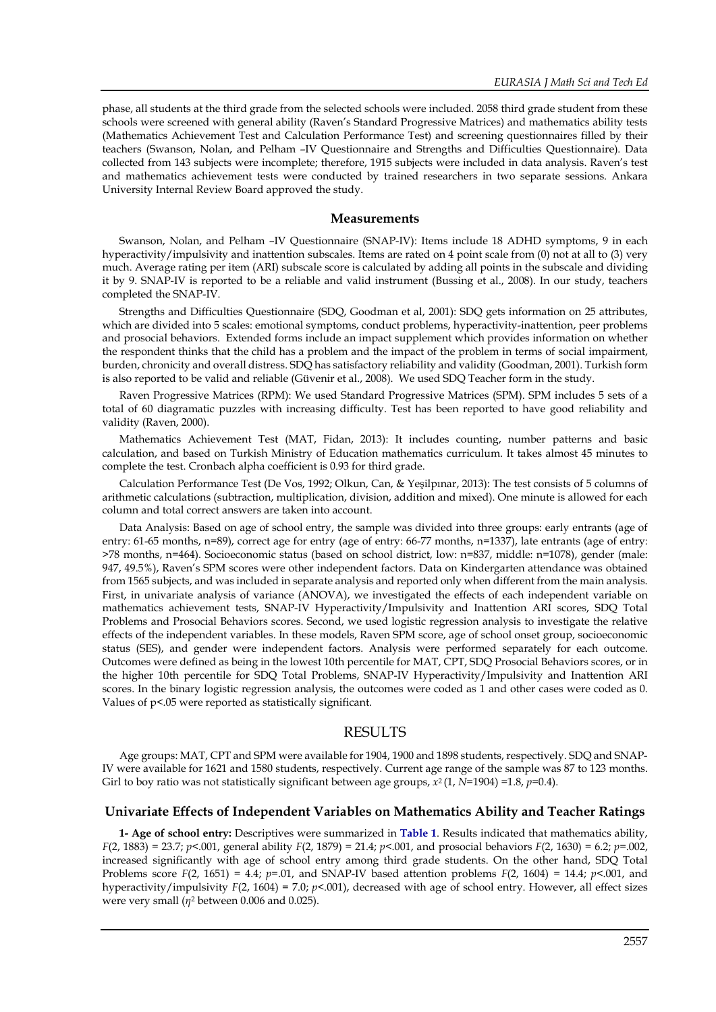phase, all students at the third grade from the selected schools were included. 2058 third grade student from these schools were screened with general ability (Raven's Standard Progressive Matrices) and mathematics ability tests (Mathematics Achievement Test and Calculation Performance Test) and screening questionnaires filled by their teachers (Swanson, Nolan, and Pelham –IV Questionnaire and Strengths and Difficulties Questionnaire). Data collected from 143 subjects were incomplete; therefore, 1915 subjects were included in data analysis. Raven's test and mathematics achievement tests were conducted by trained researchers in two separate sessions. Ankara University Internal Review Board approved the study.

#### **Measurements**

Swanson, Nolan, and Pelham –IV Questionnaire (SNAP-IV): Items include 18 ADHD symptoms, 9 in each hyperactivity/impulsivity and inattention subscales. Items are rated on 4 point scale from (0) not at all to (3) very much. Average rating per item (ARI) subscale score is calculated by adding all points in the subscale and dividing it by 9. SNAP-IV is reported to be a reliable and valid instrument (Bussing et al., 2008). In our study, teachers completed the SNAP-IV.

Strengths and Difficulties Questionnaire (SDQ, Goodman et al, 2001): SDQ gets information on 25 attributes, which are divided into 5 scales: emotional symptoms, conduct problems, hyperactivity-inattention, peer problems and prosocial behaviors. Extended forms include an impact supplement which provides information on whether the respondent thinks that the child has a problem and the impact of the problem in terms of social impairment, burden, chronicity and overall distress. SDQ has satisfactory reliability and validity (Goodman, 2001). Turkish form is also reported to be valid and reliable (Güvenir et al., 2008). We used SDQ Teacher form in the study.

Raven Progressive Matrices (RPM): We used Standard Progressive Matrices (SPM). SPM includes 5 sets of a total of 60 diagramatic puzzles with increasing difficulty. Test has been reported to have good reliability and validity (Raven, 2000).

Mathematics Achievement Test (MAT, Fidan, 2013): It includes counting, number patterns and basic calculation, and based on Turkish Ministry of Education mathematics curriculum. It takes almost 45 minutes to complete the test. Cronbach alpha coefficient is 0.93 for third grade.

Calculation Performance Test (De Vos, 1992; Olkun, Can, & Yeşilpınar, 2013): The test consists of 5 columns of arithmetic calculations (subtraction, multiplication, division, addition and mixed). One minute is allowed for each column and total correct answers are taken into account.

Data Analysis: Based on age of school entry, the sample was divided into three groups: early entrants (age of entry: 61-65 months, n=89), correct age for entry (age of entry: 66-77 months, n=1337), late entrants (age of entry: >78 months, n=464). Socioeconomic status (based on school district, low: n=837, middle: n=1078), gender (male: 947, 49.5%), Raven's SPM scores were other independent factors. Data on Kindergarten attendance was obtained from 1565 subjects, and was included in separate analysis and reported only when different from the main analysis. First, in univariate analysis of variance (ANOVA), we investigated the effects of each independent variable on mathematics achievement tests, SNAP-IV Hyperactivity/Impulsivity and Inattention ARI scores, SDQ Total Problems and Prosocial Behaviors scores. Second, we used logistic regression analysis to investigate the relative effects of the independent variables. In these models, Raven SPM score, age of school onset group, socioeconomic status (SES), and gender were independent factors. Analysis were performed separately for each outcome. Outcomes were defined as being in the lowest 10th percentile for MAT, CPT, SDQ Prosocial Behaviors scores, or in the higher 10th percentile for SDQ Total Problems, SNAP-IV Hyperactivity/Impulsivity and Inattention ARI scores. In the binary logistic regression analysis, the outcomes were coded as 1 and other cases were coded as 0. Values of p<.05 were reported as statistically significant.

## **RESULTS**

Age groups: MAT, CPT and SPM were available for 1904, 1900 and 1898 students, respectively. SDQ and SNAP-IV were available for 1621 and 1580 students, respectively. Current age range of the sample was 87 to 123 months. Girl to boy ratio was not statistically significant between age groups,  $x^2$  (1,  $N=1904$ ) =1.8,  $p=0.4$ ).

#### **Univariate Effects of Independent Variables on Mathematics Ability and Teacher Ratings**

**1- Age of school entry:** Descriptives were summarized in **Table 1**. Results indicated that mathematics ability, *F*(2, 1883) = 23.7; *p*<.001, general ability *F*(2, 1879) = 21.4; *p*<.001, and prosocial behaviors *F*(2, 1630) = 6.2; *p*=.002, increased significantly with age of school entry among third grade students. On the other hand, SDQ Total Problems score  $F(2, 1651) = 4.4$ ;  $p=0.01$ , and SNAP-IV based attention problems  $F(2, 1604) = 14.4$ ;  $p<0.01$ , and hyperactivity/impulsivity *F*(2, 1604) = 7.0; *p*<.001), decreased with age of school entry. However, all effect sizes were very small (*η*<sup>2</sup> between 0.006 and 0.025).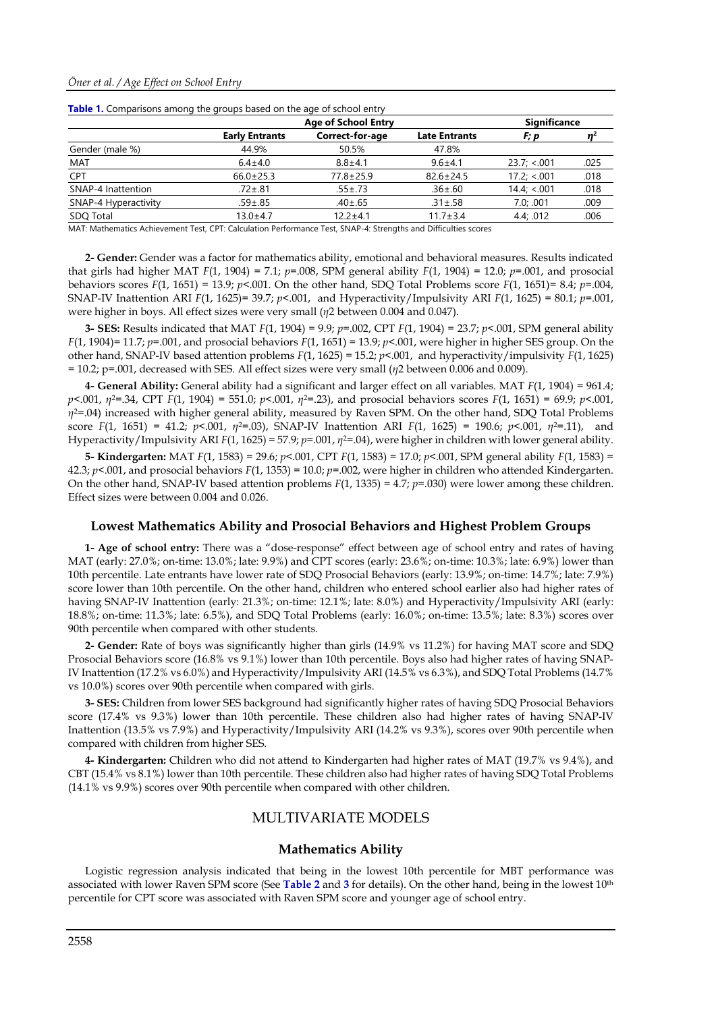|                       | <b>Significance</b> |                            |              |      |
|-----------------------|---------------------|----------------------------|--------------|------|
| <b>Early Entrants</b> | Correct-for-age     | <b>Late Entrants</b>       | F; p         |      |
| 44.9%                 | 50.5%               | 47.8%                      |              |      |
| $6.4 + 4.0$           | $8.8 + 4.1$         | $9.6 + 4.1$                | 23.7; < .001 | .025 |
| $66.0 \pm 25.3$       | $77.8 \pm 25.9$     | $82.6 \pm 24.5$            | 17.2: < .001 | .018 |
| $.72 \pm .81$         | $.55 \pm .73$       | $.36 \pm .60$              | 14.4; < 0.01 | .018 |
| $.59 + .85$           | $.40 \pm .65$       | $.31 \pm .58$              | 7.0; .001    | .009 |
| $13.0 + 4.7$          | $12.2 + 4.1$        | $11.7 \pm 3.4$             | 4.4: .012    | .006 |
|                       |                     | <b>Age of School Entry</b> |              |      |

MAT: Mathematics Achievement Test, CPT: Calculation Performance Test, SNAP-4: Strengths and Difficulties scores

**2- Gender:** Gender was a factor for mathematics ability, emotional and behavioral measures. Results indicated that girls had higher MAT  $F(1, 1904) = 7.1$ ;  $p = .008$ , SPM general ability  $F(1, 1904) = 12.0$ ;  $p = .001$ , and prosocial behaviors scores *F*(1, 1651) = 13.9; *p*<.001. On the other hand, SDQ Total Problems score *F*(1, 1651)= 8.4; *p*=.004, SNAP-IV Inattention ARI *F*(1, 1625)= 39.7; *p*<.001, and Hyperactivity/Impulsivity ARI *F*(1, 1625) = 80.1; *p*=.001, were higher in boys. All effect sizes were very small (*η*2 between 0.004 and 0.047).

**3- SES:** Results indicated that MAT *F*(1, 1904) = 9.9; *p*=.002, CPT *F*(1, 1904) = 23.7; *p*<.001, SPM general ability *F*(1, 1904)= 11.7; *p*=.001, and prosocial behaviors *F*(1, 1651) = 13.9; *p*<.001, were higher in higher SES group. On the other hand, SNAP-IV based attention problems *F*(1, 1625) = 15.2; *p*<.001, and hyperactivity/impulsivity *F*(1, 1625) = 10.2; p=.001, decreased with SES. All effect sizes were very small (*η*2 between 0.006 and 0.009).

**4- General Ability:** General ability had a significant and larger effect on all variables. MAT *F*(1, 1904) = 961.4; *p*<.001, *η*2=.34, CPT *F*(1, 1904) = 551.0; *p*<.001, *η*2=.23), and prosocial behaviors scores *F*(1, 1651) = 69.9; *p*<.001, *η*2=.04) increased with higher general ability, measured by Raven SPM. On the other hand, SDQ Total Problems score *F*(1, 1651) = 41.2; *p*<.001, *η*2=.03), SNAP-IV Inattention ARI *F*(1, 1625) = 190.6; *p*<.001, *η*2=.11), and Hyperactivity/Impulsivity ARI *F*(1, 1625) = 57.9; *p*=.001, *η*2=.04), were higher in children with lower general ability.

**5- Kindergarten:** MAT *F*(1, 1583) = 29.6; *p*<.001, CPT *F*(1, 1583) = 17.0; *p*<.001, SPM general ability *F*(1, 1583) = 42.3; *p*<.001, and prosocial behaviors *F*(1, 1353) = 10.0; *p*=.002, were higher in children who attended Kindergarten. On the other hand, SNAP-IV based attention problems *F*(1, 1335) = 4.7; *p*=.030) were lower among these children. Effect sizes were between 0.004 and 0.026.

#### **Lowest Mathematics Ability and Prosocial Behaviors and Highest Problem Groups**

**1- Age of school entry:** There was a "dose-response" effect between age of school entry and rates of having MAT (early: 27.0%; on-time: 13.0%; late: 9.9%) and CPT scores (early: 23.6%; on-time: 10.3%; late: 6.9%) lower than 10th percentile. Late entrants have lower rate of SDQ Prosocial Behaviors (early: 13.9%; on-time: 14.7%; late: 7.9%) score lower than 10th percentile. On the other hand, children who entered school earlier also had higher rates of having SNAP-IV Inattention (early: 21.3%; on-time: 12.1%; late: 8.0%) and Hyperactivity/Impulsivity ARI (early: 18.8%; on-time: 11.3%; late: 6.5%), and SDQ Total Problems (early: 16.0%; on-time: 13.5%; late: 8.3%) scores over 90th percentile when compared with other students.

**2- Gender:** Rate of boys was significantly higher than girls (14.9% vs 11.2%) for having MAT score and SDQ Prosocial Behaviors score (16.8% vs 9.1%) lower than 10th percentile. Boys also had higher rates of having SNAP-IV Inattention (17.2% vs 6.0%) and Hyperactivity/Impulsivity ARI (14.5% vs 6.3%), and SDQ Total Problems (14.7% vs 10.0%) scores over 90th percentile when compared with girls.

**3- SES:** Children from lower SES background had significantly higher rates of having SDQ Prosocial Behaviors score (17.4% vs 9.3%) lower than 10th percentile. These children also had higher rates of having SNAP-IV Inattention (13.5% vs 7.9%) and Hyperactivity/Impulsivity ARI (14.2% vs 9.3%), scores over 90th percentile when compared with children from higher SES.

**4- Kindergarten:** Children who did not attend to Kindergarten had higher rates of MAT (19.7% vs 9.4%), and CBT (15.4% vs 8.1%) lower than 10th percentile. These children also had higher rates of having SDQ Total Problems (14.1% vs 9.9%) scores over 90th percentile when compared with other children.

## MULTIVARIATE MODELS

#### **Mathematics Ability**

Logistic regression analysis indicated that being in the lowest 10th percentile for MBT performance was associated with lower Raven SPM score (See **Table 2** and **3** for details). On the other hand, being in the lowest 10th percentile for CPT score was associated with Raven SPM score and younger age of school entry.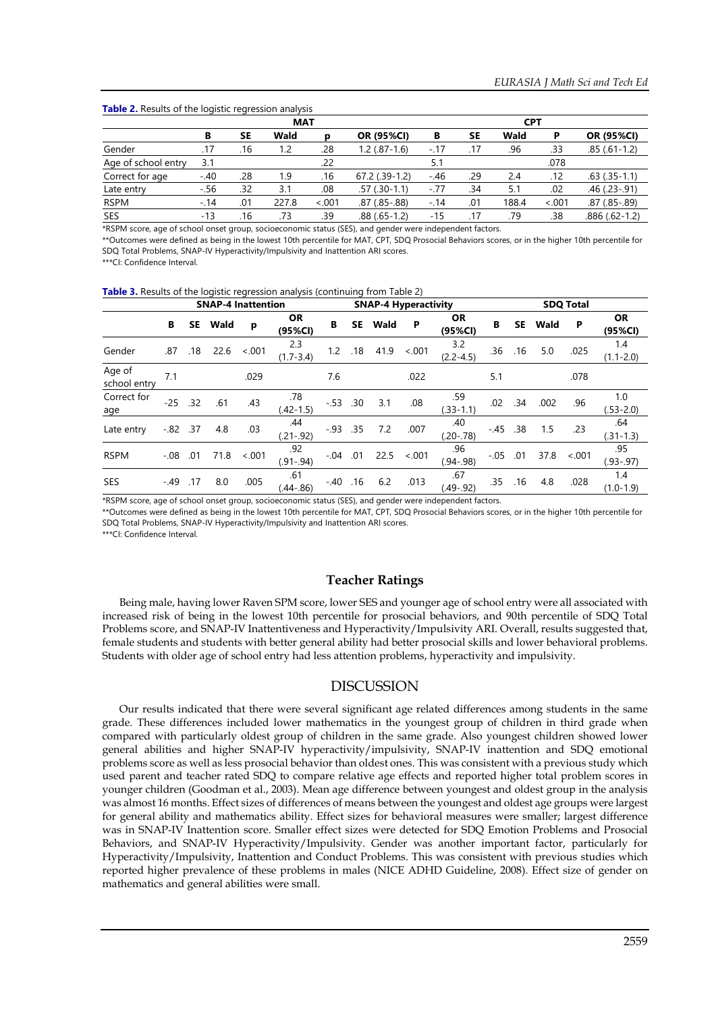|                     | <b>MAT</b> |     |       |        |                    |        | <b>CPT</b> |       |        |                   |  |  |  |
|---------------------|------------|-----|-------|--------|--------------------|--------|------------|-------|--------|-------------------|--|--|--|
|                     | в          | SΕ  | Wald  | D      | <b>OR (95%CI)</b>  | В      | SE.        | Wald  | P      | OR (95%CI)        |  |  |  |
| Gender              | .17        | .16 | 1.2   | .28    | $1.2(.87-1.6)$     | $-.17$ | .17        | .96   | .33    | $.85(.61-1.2)$    |  |  |  |
| Age of school entry | 3.1        |     |       | .22    |                    | 5.1    |            |       | .078   |                   |  |  |  |
| Correct for age     | $-.40$     | .28 | 1.9   | .16    | $67.2$ $(.39-1.2)$ | $-.46$ | .29        | 2.4   | .12    | $.63$ $(.35-1.1)$ |  |  |  |
| Late entry          | $-.56$     | .32 | 3.1   | .08    | $.57(.30-1.1)$     | $-.77$ | .34        | 5.1   | .02    | .46 (.23 -.91)    |  |  |  |
| <b>RSPM</b>         | $-.14$     | .01 | 227.8 | < .001 | .87 (.85 - .88)    | $-14$  | .01        | 188.4 | < .001 | .87 (.85 - .89)   |  |  |  |
| SES                 | $-13$      | .16 | .73   | .39    | $.88(.65-1.2)$     | $-15$  | .17        | .79   | .38    | $.886(.62-1.2)$   |  |  |  |

\*RSPM score, age of school onset group, socioeconomic status (SES), and gender were independent factors.

\*\*Outcomes were defined as being in the lowest 10th percentile for MAT, CPT, SDQ Prosocial Behaviors scores, or in the higher 10th percentile for SDQ Total Problems, SNAP-IV Hyperactivity/Impulsivity and Inattention ARI scores.

\*\*\*CI: Confidence Interval.

**Table 3.** Results of the logistic regression analysis (continuing from Table 2)

|                        | <b>SNAP-4 Inattention</b> |           |      |         |                      |             | <b>SNAP-4 Hyperactivity</b> |      |         |                      |           |     | <b>SDQ Total</b> |         |                      |  |
|------------------------|---------------------------|-----------|------|---------|----------------------|-------------|-----------------------------|------|---------|----------------------|-----------|-----|------------------|---------|----------------------|--|
|                        | В                         | <b>SE</b> | Wald | p       | <b>OR</b><br>(95%CI) | В           | <b>SE</b>                   | Wald | P       | <b>OR</b><br>(95%CI) | В         | SE  | Wald             | P       | <b>OR</b><br>(95%CI) |  |
| Gender                 | .87                       | .18       | 22.6 | < 0.001 | 2.3<br>$(1.7 - 3.4)$ | 1.2         | .18                         | 41.9 | $-.001$ | 3.2<br>$(2.2 - 4.5)$ | .36       | .16 | 5.0              | .025    | 1.4<br>$(1.1 - 2.0)$ |  |
| Age of<br>school entry | 7.1                       |           |      | .029    |                      | 7.6         |                             |      | .022    |                      | 5.1       |     |                  | .078    |                      |  |
| Correct for<br>age     | $-25$ .32                 |           | .61  | .43     | .78<br>$(.42-1.5)$   | $-.53$ .30  |                             | 3.1  | .08     | .59<br>$(.33-1.1)$   | .02       | .34 | .002             | .96     | 1.0<br>$(.53-2.0)$   |  |
| Late entry             | $-.82$ .37                |           | 4.8  | .03     | .44<br>$(.21-.92)$   | $-0.93$ .35 |                             | 7.2  | .007    | .40<br>$(.20-.78)$   | $-45$ .38 |     | 1.5              | .23     | .64<br>$(.31-1.3)$   |  |
| <b>RSPM</b>            | $-.08$                    | .01       | 71.8 | < 0.001 | .92<br>$(.91-.94)$   | $-.04$      | .01                         | 22.5 | $-.001$ | .96<br>$(.94-.98)$   | $-.05$    | .01 | 37.8             | $-.001$ | .95<br>$(.93-.97)$   |  |
| SES                    | $-.49$                    | .17       | 8.0  | .005    | .61<br>$(.44-.86)$   | $-.40$ .16  |                             | 6.2  | .013    | .67<br>$(.49-.92)$   | .35       | .16 | 4.8              | .028    | 1.4<br>$(1.0 - 1.9)$ |  |

\*RSPM score, age of school onset group, socioeconomic status (SES), and gender were independent factors.

\*\*Outcomes were defined as being in the lowest 10th percentile for MAT, CPT, SDQ Prosocial Behaviors scores, or in the higher 10th percentile for SDQ Total Problems, SNAP-IV Hyperactivity/Impulsivity and Inattention ARI scores.

\*\*\*CI: Confidence Interval.

## **Teacher Ratings**

Being male, having lower Raven SPM score, lower SES and younger age of school entry were all associated with increased risk of being in the lowest 10th percentile for prosocial behaviors, and 90th percentile of SDQ Total Problems score, and SNAP-IV Inattentiveness and Hyperactivity/Impulsivity ARI. Overall, results suggested that, female students and students with better general ability had better prosocial skills and lower behavioral problems. Students with older age of school entry had less attention problems, hyperactivity and impulsivity.

## DISCUSSION

Our results indicated that there were several significant age related differences among students in the same grade. These differences included lower mathematics in the youngest group of children in third grade when compared with particularly oldest group of children in the same grade. Also youngest children showed lower general abilities and higher SNAP-IV hyperactivity/impulsivity, SNAP-IV inattention and SDQ emotional problems score as well as less prosocial behavior than oldest ones. This was consistent with a previous study which used parent and teacher rated SDQ to compare relative age effects and reported higher total problem scores in younger children (Goodman et al., 2003). Mean age difference between youngest and oldest group in the analysis was almost 16 months. Effect sizes of differences of means between the youngest and oldest age groups were largest for general ability and mathematics ability. Effect sizes for behavioral measures were smaller; largest difference was in SNAP-IV Inattention score. Smaller effect sizes were detected for SDQ Emotion Problems and Prosocial Behaviors, and SNAP-IV Hyperactivity/Impulsivity. Gender was another important factor, particularly for Hyperactivity/Impulsivity, Inattention and Conduct Problems. This was consistent with previous studies which reported higher prevalence of these problems in males (NICE ADHD Guideline, 2008). Effect size of gender on mathematics and general abilities were small.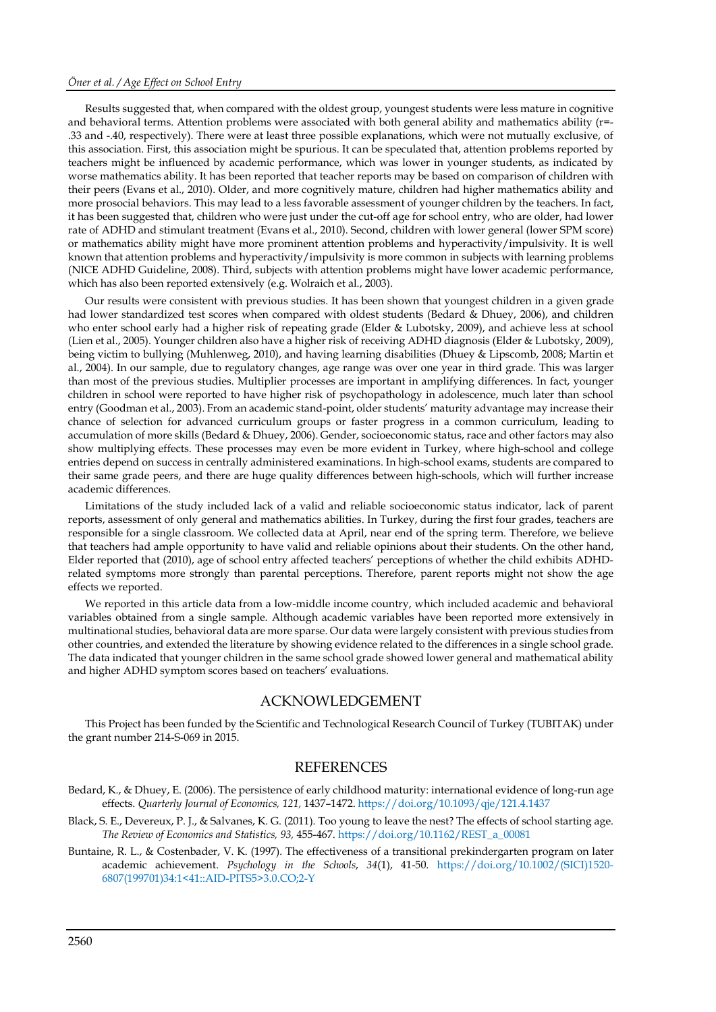#### *Öner et al. / Age Effect on School Entry*

Results suggested that, when compared with the oldest group, youngest students were less mature in cognitive and behavioral terms. Attention problems were associated with both general ability and mathematics ability (r=-.33 and -.40, respectively). There were at least three possible explanations, which were not mutually exclusive, of this association. First, this association might be spurious. It can be speculated that, attention problems reported by teachers might be influenced by academic performance, which was lower in younger students, as indicated by worse mathematics ability. It has been reported that teacher reports may be based on comparison of children with their peers (Evans et al., 2010). Older, and more cognitively mature, children had higher mathematics ability and more prosocial behaviors. This may lead to a less favorable assessment of younger children by the teachers. In fact, it has been suggested that, children who were just under the cut-off age for school entry, who are older, had lower rate of ADHD and stimulant treatment (Evans et al., 2010). Second, children with lower general (lower SPM score) or mathematics ability might have more prominent attention problems and hyperactivity/impulsivity. It is well known that attention problems and hyperactivity/impulsivity is more common in subjects with learning problems (NICE ADHD Guideline, 2008). Third, subjects with attention problems might have lower academic performance, which has also been reported extensively (e.g. Wolraich et al., 2003).

Our results were consistent with previous studies. It has been shown that youngest children in a given grade had lower standardized test scores when compared with oldest students (Bedard & Dhuey, 2006), and children who enter school early had a higher risk of repeating grade (Elder & Lubotsky, 2009), and achieve less at school (Lien et al., 2005). Younger children also have a higher risk of receiving ADHD diagnosis (Elder & Lubotsky, 2009), being victim to bullying (Muhlenweg, 2010), and having learning disabilities (Dhuey & Lipscomb, 2008; Martin et al., 2004). In our sample, due to regulatory changes, age range was over one year in third grade. This was larger than most of the previous studies. Multiplier processes are important in amplifying differences. In fact, younger children in school were reported to have higher risk of psychopathology in adolescence, much later than school entry (Goodman et al., 2003). From an academic stand-point, older students' maturity advantage may increase their chance of selection for advanced curriculum groups or faster progress in a common curriculum, leading to accumulation of more skills (Bedard & Dhuey, 2006). Gender, socioeconomic status, race and other factors may also show multiplying effects. These processes may even be more evident in Turkey, where high-school and college entries depend on success in centrally administered examinations. In high-school exams, students are compared to their same grade peers, and there are huge quality differences between high-schools, which will further increase academic differences.

Limitations of the study included lack of a valid and reliable socioeconomic status indicator, lack of parent reports, assessment of only general and mathematics abilities. In Turkey, during the first four grades, teachers are responsible for a single classroom. We collected data at April, near end of the spring term. Therefore, we believe that teachers had ample opportunity to have valid and reliable opinions about their students. On the other hand, Elder reported that (2010), age of school entry affected teachers' perceptions of whether the child exhibits ADHDrelated symptoms more strongly than parental perceptions. Therefore, parent reports might not show the age effects we reported.

We reported in this article data from a low-middle income country, which included academic and behavioral variables obtained from a single sample. Although academic variables have been reported more extensively in multinational studies, behavioral data are more sparse. Our data were largely consistent with previous studies from other countries, and extended the literature by showing evidence related to the differences in a single school grade. The data indicated that younger children in the same school grade showed lower general and mathematical ability and higher ADHD symptom scores based on teachers' evaluations.

## ACKNOWLEDGEMENT

This Project has been funded by the Scientific and Technological Research Council of Turkey (TUBITAK) under the grant number 214-S-069 in 2015.

## REFERENCES

Bedard, K., & Dhuey, E. (2006). The persistence of early childhood maturity: international evidence of long-run age effects. *Quarterly Journal of Economics, 121,* 1437–1472. <https://doi.org/10.1093/qje/121.4.1437>

- Black, S. E., Devereux, P. J., & Salvanes, K. G. (2011). Too young to leave the nest? The effects of school starting age. *The Review of Economics and Statistics, 93,* 455-467. [https://doi.org/10.1162/REST\\_a\\_00081](https://doi.org/10.1162/REST_a_00081)
- Buntaine, R. L., & Costenbader, V. K. (1997). The effectiveness of a transitional prekindergarten program on later academic achievement. *Psychology in the Schools*, *34*(1), 41-50. [https://doi.org/10.1002/\(SICI\)1520-](https://doi.org/10.1002/(SICI)1520-6807(199701)34:1%3c41::AID-PITS5%3e3.0.CO;2-Y) [6807\(199701\)34:1<41::AID-PITS5>3.0.CO;2-Y](https://doi.org/10.1002/(SICI)1520-6807(199701)34:1%3c41::AID-PITS5%3e3.0.CO;2-Y)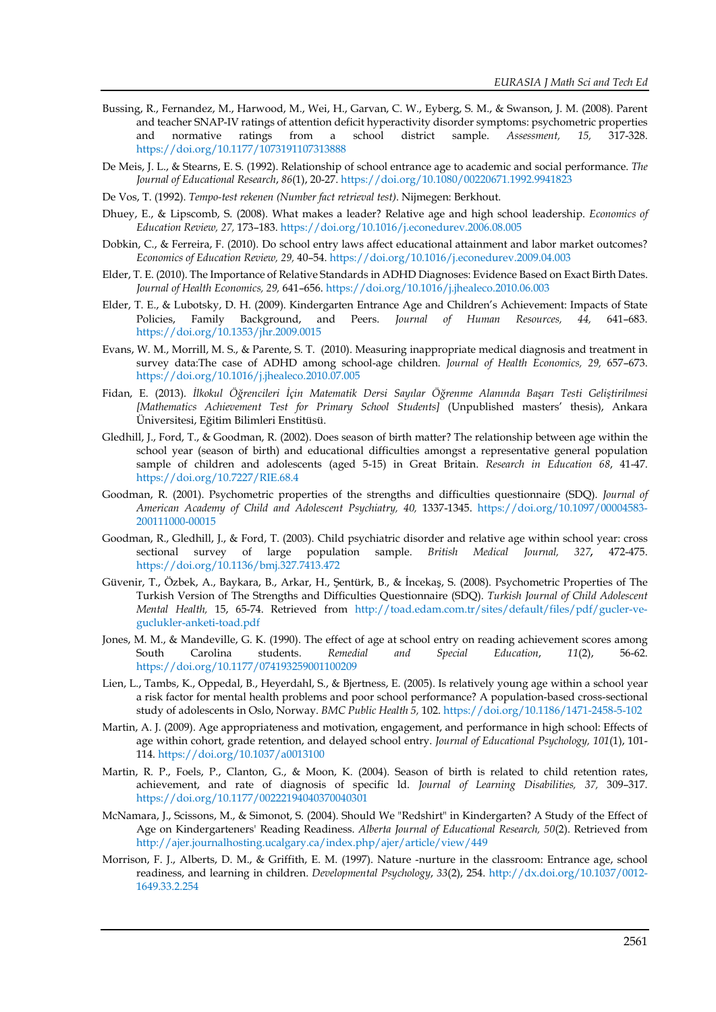- Bussing, R., Fernandez, M., Harwood, M., Wei, H., Garvan, C. W., Eyberg, S. M., & Swanson, J. M. (2008). Parent and teacher SNAP-IV ratings of attention deficit hyperactivity disorder symptoms: psychometric properties and normative ratings from a school district sample. *Assessment, 15,* 317-328. <https://doi.org/10.1177/1073191107313888>
- De Meis, J. L., & Stearns, E. S. (1992). Relationship of school entrance age to academic and social performance. *The Journal of Educational Research*, *86*(1), 20-27[. https://doi.org/10.1080/00220671.1992.9941823](https://doi.org/10.1080/00220671.1992.9941823)
- De Vos, T. (1992). *Tempo-test rekenen (Number fact retrieval test)*. Nijmegen: Berkhout.
- Dhuey, E., & Lipscomb, S. (2008). What makes a leader? Relative age and high school leadership. *Economics of Education Review, 27,* 173–183. <https://doi.org/10.1016/j.econedurev.2006.08.005>
- Dobkin, C., & Ferreira, F. (2010). Do school entry laws affect educational attainment and labor market outcomes? *Economics of Education Review, 29,* 40–54. <https://doi.org/10.1016/j.econedurev.2009.04.003>
- Elder, T. E. (2010). The Importance of Relative Standards in ADHD Diagnoses: Evidence Based on Exact Birth Dates. *Journal of Health Economics, 29,* 641–656. <https://doi.org/10.1016/j.jhealeco.2010.06.003>
- Elder, T. E., & Lubotsky, D. H. (2009). Kindergarten Entrance Age and Children's Achievement: Impacts of State Policies, Family Background, and Peers. *Journal of Human Resources, 44,* 641–683. <https://doi.org/10.1353/jhr.2009.0015>
- Evans, W. M., Morrill, M. S., & Parente, S. T. (2010). Measuring inappropriate medical diagnosis and treatment in survey data:The case of ADHD among school-age children. *Journal of Health Economics, 29,* 657–673. <https://doi.org/10.1016/j.jhealeco.2010.07.005>
- Fidan, E. (2013). *İlkokul Öğrencileri İçin Matematik Dersi Sayılar Öğrenme Alanında Başarı Testi Geliştirilmesi [Mathematics Achievement Test for Primary School Students]* (Unpublished masters' thesis), Ankara Üniversitesi, Eğitim Bilimleri Enstitüsü.
- Gledhill, J., Ford, T., & Goodman, R. (2002). Does season of birth matter? The relationship between age within the school year (season of birth) and educational difficulties amongst a representative general population sample of children and adolescents (aged 5-15) in Great Britain. *Research in Education 68*, 41-47. <https://doi.org/10.7227/RIE.68.4>
- Goodman, R. (2001). Psychometric properties of the strengths and difficulties questionnaire (SDQ). *Journal of American Academy of Child and Adolescent Psychiatry, 40,* 1337-1345. [https://doi.org/10.1097/00004583-](https://doi.org/10.1097/00004583-200111000-00015) [200111000-00015](https://doi.org/10.1097/00004583-200111000-00015)
- Goodman, R., Gledhill, J., & Ford, T. (2003). Child psychiatric disorder and relative age within school year: cross sectional survey of large population sample. *British Medical Journal, 327,* 472-475. <https://doi.org/10.1136/bmj.327.7413.472>
- Güvenir, T., Özbek, A., Baykara, B., Arkar, H., Şentürk, B., & İncekaş, S. (2008). Psychometric Properties of The Turkish Version of The Strengths and Difficulties Questionnaire (SDQ). *Turkish Journal of Child Adolescent Mental Health,* 15, 65-74. Retrieved from [http://toad.edam.com.tr/sites/default/files/pdf/gucler-ve](http://toad.edam.com.tr/sites/default/files/pdf/gucler-ve-guclukler-anketi-toad.pdf)[guclukler-anketi-toad.pdf](http://toad.edam.com.tr/sites/default/files/pdf/gucler-ve-guclukler-anketi-toad.pdf)
- Jones, M. M., & Mandeville, G. K. (1990). The effect of age at school entry on reading achievement scores among South Carolina students. *Remedial and Special Education*, *11*(2), 56-62. <https://doi.org/10.1177/074193259001100209>
- Lien, L., Tambs, K., Oppedal, B., Heyerdahl, S., & Bjertness, E. (2005). Is relatively young age within a school year a risk factor for mental health problems and poor school performance? A population-based cross-sectional study of adolescents in Oslo, Norway. *BMC Public Health 5,* 102. <https://doi.org/10.1186/1471-2458-5-102>
- Martin, A. J. (2009). Age appropriateness and motivation, engagement, and performance in high school: Effects of age within cohort, grade retention, and delayed school entry. *Journal of Educational Psychology, 101*(1), 101- 114[. https://doi.org/10.1037/a0013100](https://doi.org/10.1037/a0013100)
- Martin, R. P., Foels, P., Clanton, G., & Moon, K. (2004). Season of birth is related to child retention rates, achievement, and rate of diagnosis of specific ld. *Journal of Learning Disabilities, 37,* 309–317. <https://doi.org/10.1177/00222194040370040301>
- McNamara, J., Scissons, M., & Simonot, S. (2004). Should We "Redshirt" in Kindergarten? A Study of the Effect of Age on Kindergarteners' Reading Readiness. *Alberta Journal of Educational Research, 50*(2). Retrieved from <http://ajer.journalhosting.ucalgary.ca/index.php/ajer/article/view/449>
- Morrison, F. J., Alberts, D. M., & Griffith, E. M. (1997). Nature -nurture in the classroom: Entrance age, school readiness, and learning in children. *Developmental Psychology*, *33*(2), 254. [http://dx.doi.org/10.1037/0012-](http://dx.doi.org/10.1037/0012-1649.33.2.254) [1649.33.2.254](http://dx.doi.org/10.1037/0012-1649.33.2.254)